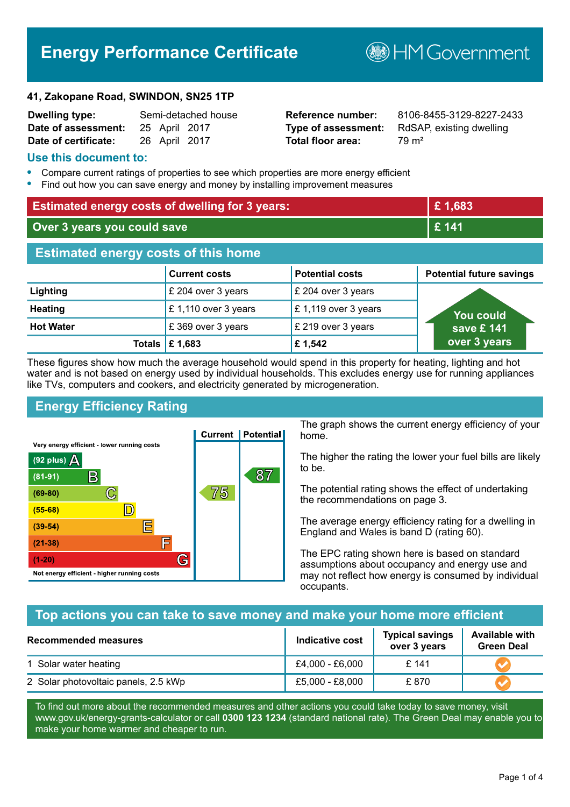# **Energy Performance Certificate**

#### **41, Zakopane Road, SWINDON, SN25 1TP**

| <b>Dwelling type:</b> | Semi-detached hous |               |  |
|-----------------------|--------------------|---------------|--|
| Date of assessment:   |                    | 25 April 2017 |  |
| Date of certificate:  |                    | 26 April 2017 |  |

# **Total floor area:** 79 m<sup>2</sup>

**Dwelling type:** Semi-detached house **Reference number:** 8106-8455-3129-8227-2433 **Type of assessment:** RdSAP, existing dwelling

**B**HM Government

#### **Use this document to:**

- **•** Compare current ratings of properties to see which properties are more energy efficient
- **•** Find out how you can save energy and money by installing improvement measures

| <b>Estimated energy costs of dwelling for 3 years:</b> |                      |                        | £1,683                          |
|--------------------------------------------------------|----------------------|------------------------|---------------------------------|
| Over 3 years you could save                            |                      |                        | £ 141                           |
| <b>Estimated energy costs of this home</b>             |                      |                        |                                 |
|                                                        | <b>Current costs</b> | <b>Potential costs</b> | <b>Potential future savings</b> |
| Lighting                                               | £ 204 over 3 years   | £ 204 over 3 years     |                                 |
| <b>Heating</b>                                         | £1,110 over 3 years  | £1,119 over 3 years    | You could                       |
| <b>Hot Water</b>                                       | £369 over 3 years    | £ 219 over 3 years     | save £ 141                      |
| <b>Totals</b>                                          | £1,683               | £1,542                 | over 3 years                    |

These figures show how much the average household would spend in this property for heating, lighting and hot water and is not based on energy used by individual households. This excludes energy use for running appliances like TVs, computers and cookers, and electricity generated by microgeneration.

# **Energy Efficiency Rating**



The graph shows the current energy efficiency of your home.

The higher the rating the lower your fuel bills are likely to be.

The potential rating shows the effect of undertaking the recommendations on page 3.

The average energy efficiency rating for a dwelling in England and Wales is band D (rating 60).

The EPC rating shown here is based on standard assumptions about occupancy and energy use and may not reflect how energy is consumed by individual occupants.

# **Top actions you can take to save money and make your home more efficient**

| <b>Recommended measures</b>          | <b>Indicative cost</b> | <b>Typical savings</b><br>over 3 years | <b>Available with</b><br><b>Green Deal</b> |
|--------------------------------------|------------------------|----------------------------------------|--------------------------------------------|
| 1 Solar water heating                | £4,000 - £6,000        | £141                                   |                                            |
| 2 Solar photovoltaic panels, 2.5 kWp | £5,000 - £8,000        | £870                                   |                                            |

To find out more about the recommended measures and other actions you could take today to save money, visit www.gov.uk/energy-grants-calculator or call **0300 123 1234** (standard national rate). The Green Deal may enable you to make your home warmer and cheaper to run.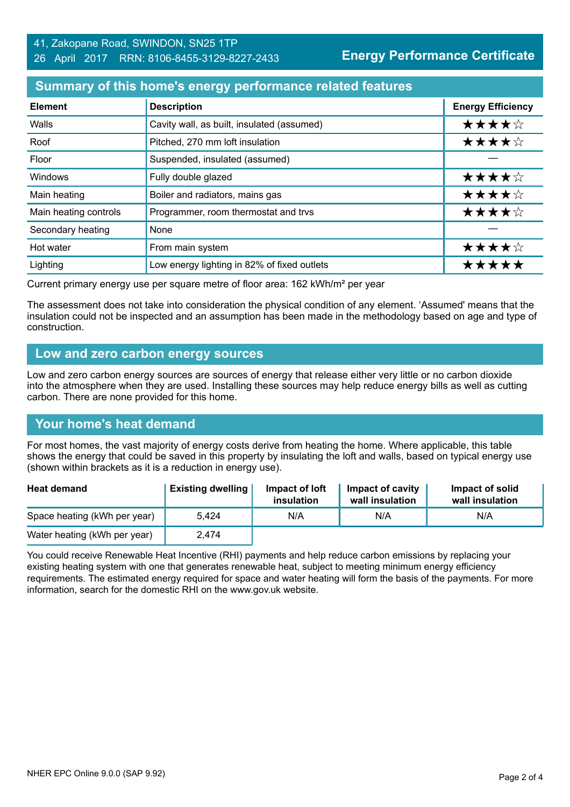#### 41, Zakopane Road, SWINDON, SN25 1TP 26 April 2017 RRN: 8106-8455-3129-8227-2433

### **Summary of this home's energy performance related features**

| <b>Element</b>        | <b>Description</b>                          | <b>Energy Efficiency</b> |
|-----------------------|---------------------------------------------|--------------------------|
| Walls                 | Cavity wall, as built, insulated (assumed)  | ★★★★☆                    |
| Roof                  | Pitched, 270 mm loft insulation             | ★★★★☆                    |
| Floor                 | Suspended, insulated (assumed)              |                          |
| Windows               | Fully double glazed                         | ★★★★☆                    |
| Main heating          | Boiler and radiators, mains gas             | ★★★★☆                    |
| Main heating controls | Programmer, room thermostat and trvs        | ★★★★☆                    |
| Secondary heating     | None                                        |                          |
| Hot water             | From main system                            | ★★★★☆                    |
| Lighting              | Low energy lighting in 82% of fixed outlets | ****                     |

Current primary energy use per square metre of floor area: 162 kWh/m² per year

The assessment does not take into consideration the physical condition of any element. 'Assumed' means that the insulation could not be inspected and an assumption has been made in the methodology based on age and type of construction.

#### **Low and zero carbon energy sources**

Low and zero carbon energy sources are sources of energy that release either very little or no carbon dioxide into the atmosphere when they are used. Installing these sources may help reduce energy bills as well as cutting carbon. There are none provided for this home.

# **Your home's heat demand**

For most homes, the vast majority of energy costs derive from heating the home. Where applicable, this table shows the energy that could be saved in this property by insulating the loft and walls, based on typical energy use (shown within brackets as it is a reduction in energy use).

| <b>Heat demand</b>           | <b>Existing dwelling</b> | Impact of loft<br>insulation | Impact of cavity<br>wall insulation | Impact of solid<br>wall insulation |
|------------------------------|--------------------------|------------------------------|-------------------------------------|------------------------------------|
| Space heating (kWh per year) | 5.424                    | N/A                          | N/A                                 | N/A                                |
| Water heating (kWh per year) | 2.474                    |                              |                                     |                                    |

You could receive Renewable Heat Incentive (RHI) payments and help reduce carbon emissions by replacing your existing heating system with one that generates renewable heat, subject to meeting minimum energy efficiency requirements. The estimated energy required for space and water heating will form the basis of the payments. For more information, search for the domestic RHI on the www.gov.uk website.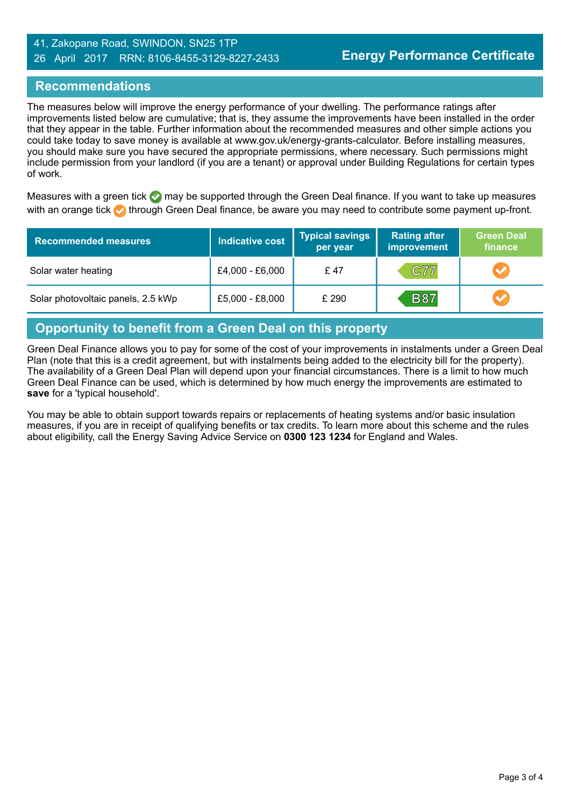#### 41, Zakopane Road, SWINDON, SN25 1TP 26 April 2017 RRN: 8106-8455-3129-8227-2433

#### **Recommendations**

The measures below will improve the energy performance of your dwelling. The performance ratings after improvements listed below are cumulative; that is, they assume the improvements have been installed in the order that they appear in the table. Further information about the recommended measures and other simple actions you could take today to save money is available at www.gov.uk/energy-grants-calculator. Before installing measures, you should make sure you have secured the appropriate permissions, where necessary. Such permissions might include permission from your landlord (if you are a tenant) or approval under Building Regulations for certain types of work.

Measures with a green tick  $\bullet$  may be supported through the Green Deal finance. If you want to take up measures with an orange tick **th** through Green Deal finance, be aware you may need to contribute some payment up-front.

| <b>Recommended measures</b>        | Indicative cost | <b>Typical savings</b><br>per year | <b>Rating after</b><br><b>improvement</b> | <b>Green Deal</b><br>finance |
|------------------------------------|-----------------|------------------------------------|-------------------------------------------|------------------------------|
| Solar water heating                | £4,000 - £6,000 | £47                                | C77                                       |                              |
| Solar photovoltaic panels, 2.5 kWp | £5,000 - £8,000 | £290                               | <b>B87</b>                                |                              |

#### **Opportunity to benefit from a Green Deal on this property**

Green Deal Finance allows you to pay for some of the cost of your improvements in instalments under a Green Deal Plan (note that this is a credit agreement, but with instalments being added to the electricity bill for the property). The availability of a Green Deal Plan will depend upon your financial circumstances. There is a limit to how much Green Deal Finance can be used, which is determined by how much energy the improvements are estimated to **save** for a 'typical household'.

You may be able to obtain support towards repairs or replacements of heating systems and/or basic insulation measures, if you are in receipt of qualifying benefits or tax credits. To learn more about this scheme and the rules about eligibility, call the Energy Saving Advice Service on **0300 123 1234** for England and Wales.